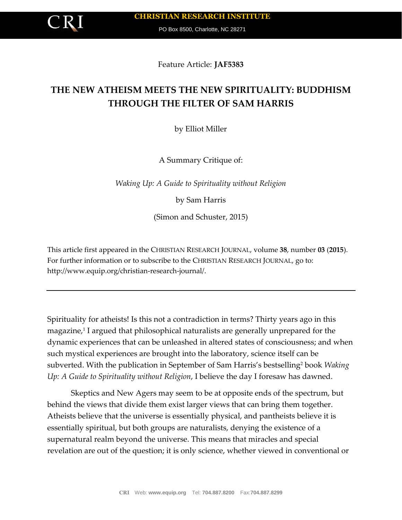PO Box 8500, Charlotte, NC 28271

Feature Article: **JAF5383**

# **THE NEW ATHEISM MEETS THE NEW SPIRITUALITY: BUDDHISM THROUGH THE FILTER OF SAM HARRIS**

by Elliot Miller

A Summary Critique of:

*Waking Up: A Guide to Spirituality without Religion*

by Sam Harris

(Simon and Schuster, 2015)

This article first appeared in the CHRISTIAN RESEARCH JOURNAL, volume **38**, number **03** (**2015**). For further information or to subscribe to the CHRISTIAN RESEARCH JOURNAL, go to: http://www.equip.org/christian-research-journal/.

Spirituality for atheists! Is this not a contradiction in terms? Thirty years ago in this magazine,<sup>1</sup> I argued that philosophical naturalists are generally unprepared for the dynamic experiences that can be unleashed in altered states of consciousness; and when such mystical experiences are brought into the laboratory, science itself can be subverted. With the publication in September of Sam Harris's bestselling<sup>2</sup> book *Waking Up: A Guide to Spirituality without Religion*, I believe the day I foresaw has dawned.

Skeptics and New Agers may seem to be at opposite ends of the spectrum, but behind the views that divide them exist larger views that can bring them together. Atheists believe that the universe is essentially physical, and pantheists believe it is essentially spiritual, but both groups are naturalists, denying the existence of a supernatural realm beyond the universe. This means that miracles and special revelation are out of the question; it is only science, whether viewed in conventional or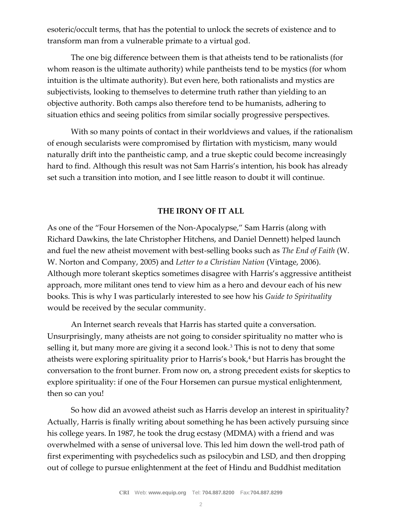esoteric/occult terms, that has the potential to unlock the secrets of existence and to transform man from a vulnerable primate to a virtual god.

The one big difference between them is that atheists tend to be rationalists (for whom reason is the ultimate authority) while pantheists tend to be mystics (for whom intuition is the ultimate authority). But even here, both rationalists and mystics are subjectivists, looking to themselves to determine truth rather than yielding to an objective authority. Both camps also therefore tend to be humanists, adhering to situation ethics and seeing politics from similar socially progressive perspectives.

With so many points of contact in their worldviews and values, if the rationalism of enough secularists were compromised by flirtation with mysticism, many would naturally drift into the pantheistic camp, and a true skeptic could become increasingly hard to find. Although this result was not Sam Harris's intention, his book has already set such a transition into motion, and I see little reason to doubt it will continue.

### **THE IRONY OF IT ALL**

As one of the "Four Horsemen of the Non-Apocalypse," Sam Harris (along with Richard Dawkins, the late Christopher Hitchens, and Daniel Dennett) helped launch and fuel the new atheist movement with best-selling books such as *The End of Faith* (W. W. Norton and Company, 2005) and *Letter to a Christian Nation* (Vintage, 2006). Although more tolerant skeptics sometimes disagree with Harris's aggressive antitheist approach, more militant ones tend to view him as a hero and devour each of his new books. This is why I was particularly interested to see how his *Guide to Spirituality* would be received by the secular community.

An Internet search reveals that Harris has started quite a conversation. Unsurprisingly, many atheists are not going to consider spirituality no matter who is selling it, but many more are giving it a second look.<sup>3</sup> This is not to deny that some atheists were exploring spirituality prior to Harris's book,<sup>4</sup> but Harris has brought the conversation to the front burner. From now on, a strong precedent exists for skeptics to explore spirituality: if one of the Four Horsemen can pursue mystical enlightenment, then so can you!

So how did an avowed atheist such as Harris develop an interest in spirituality? Actually, Harris is finally writing about something he has been actively pursuing since his college years. In 1987, he took the drug ecstasy (MDMA) with a friend and was overwhelmed with a sense of universal love. This led him down the well-trod path of first experimenting with psychedelics such as psilocybin and LSD, and then dropping out of college to pursue enlightenment at the feet of Hindu and Buddhist meditation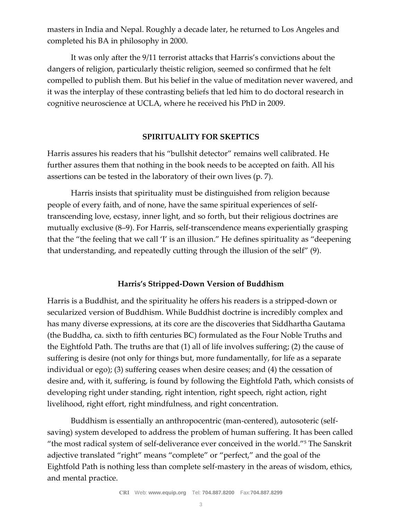masters in India and Nepal. Roughly a decade later, he returned to Los Angeles and completed his BA in philosophy in 2000.

It was only after the 9/11 terrorist attacks that Harris's convictions about the dangers of religion, particularly theistic religion, seemed so confirmed that he felt compelled to publish them. But his belief in the value of meditation never wavered, and it was the interplay of these contrasting beliefs that led him to do doctoral research in cognitive neuroscience at UCLA, where he received his PhD in 2009.

#### **SPIRITUALITY FOR SKEPTICS**

Harris assures his readers that his "bullshit detector" remains well calibrated. He further assures them that nothing in the book needs to be accepted on faith. All his assertions can be tested in the laboratory of their own lives (p. 7).

Harris insists that spirituality must be distinguished from religion because people of every faith, and of none, have the same spiritual experiences of selftranscending love, ecstasy, inner light, and so forth, but their religious doctrines are mutually exclusive (8–9). For Harris, self-transcendence means experientially grasping that the "the feeling that we call 'I' is an illusion." He defines spirituality as "deepening that understanding, and repeatedly cutting through the illusion of the self" (9).

#### **Harris's Stripped-Down Version of Buddhism**

Harris is a Buddhist, and the spirituality he offers his readers is a stripped-down or secularized version of Buddhism. While Buddhist doctrine is incredibly complex and has many diverse expressions, at its core are the discoveries that Siddhartha Gautama (the Buddha, ca. sixth to fifth centuries BC) formulated as the Four Noble Truths and the Eightfold Path. The truths are that (1) all of life involves suffering; (2) the cause of suffering is desire (not only for things but, more fundamentally, for life as a separate individual or ego); (3) suffering ceases when desire ceases; and (4) the cessation of desire and, with it, suffering, is found by following the Eightfold Path, which consists of developing right under standing, right intention, right speech, right action, right livelihood, right effort, right mindfulness, and right concentration.

Buddhism is essentially an anthropocentric (man-centered), autosoteric (selfsaving) system developed to address the problem of human suffering. It has been called "the most radical system of self-deliverance ever conceived in the world."<sup>5</sup> The Sanskrit adjective translated "right" means "complete" or "perfect," and the goal of the Eightfold Path is nothing less than complete self-mastery in the areas of wisdom, ethics, and mental practice.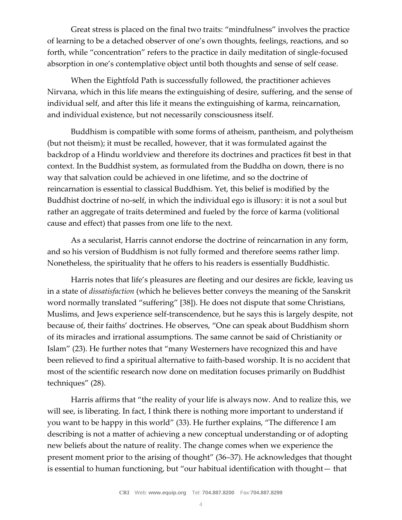Great stress is placed on the final two traits: "mindfulness" involves the practice of learning to be a detached observer of one's own thoughts, feelings, reactions, and so forth, while "concentration" refers to the practice in daily meditation of single-focused absorption in one's contemplative object until both thoughts and sense of self cease.

When the Eightfold Path is successfully followed, the practitioner achieves Nirvana, which in this life means the extinguishing of desire, suffering, and the sense of individual self, and after this life it means the extinguishing of karma, reincarnation, and individual existence, but not necessarily consciousness itself.

Buddhism is compatible with some forms of atheism, pantheism, and polytheism (but not theism); it must be recalled, however, that it was formulated against the backdrop of a Hindu worldview and therefore its doctrines and practices fit best in that context. In the Buddhist system, as formulated from the Buddha on down, there is no way that salvation could be achieved in one lifetime, and so the doctrine of reincarnation is essential to classical Buddhism. Yet, this belief is modified by the Buddhist doctrine of no-self, in which the individual ego is illusory: it is not a soul but rather an aggregate of traits determined and fueled by the force of karma (volitional cause and effect) that passes from one life to the next.

As a secularist, Harris cannot endorse the doctrine of reincarnation in any form, and so his version of Buddhism is not fully formed and therefore seems rather limp. Nonetheless, the spirituality that he offers to his readers is essentially Buddhistic.

Harris notes that life's pleasures are fleeting and our desires are fickle, leaving us in a state of *dissatisfaction* (which he believes better conveys the meaning of the Sanskrit word normally translated "suffering" [38]). He does not dispute that some Christians, Muslims, and Jews experience self-transcendence, but he says this is largely despite, not because of, their faiths' doctrines. He observes, "One can speak about Buddhism shorn of its miracles and irrational assumptions. The same cannot be said of Christianity or Islam" (23). He further notes that "many Westerners have recognized this and have been relieved to find a spiritual alternative to faith-based worship. It is no accident that most of the scientific research now done on meditation focuses primarily on Buddhist techniques" (28).

Harris affirms that "the reality of your life is always now. And to realize this, we will see, is liberating. In fact, I think there is nothing more important to understand if you want to be happy in this world" (33). He further explains, "The difference I am describing is not a matter of achieving a new conceptual understanding or of adopting new beliefs about the nature of reality. The change comes when we experience the present moment prior to the arising of thought" (36–37). He acknowledges that thought is essential to human functioning, but "our habitual identification with thought— that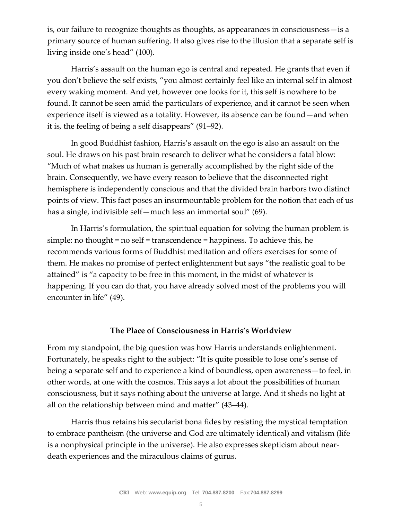is, our failure to recognize thoughts as thoughts, as appearances in consciousness—is a primary source of human suffering. It also gives rise to the illusion that a separate self is living inside one's head" (100).

Harris's assault on the human ego is central and repeated. He grants that even if you don't believe the self exists, "you almost certainly feel like an internal self in almost every waking moment. And yet, however one looks for it, this self is nowhere to be found. It cannot be seen amid the particulars of experience, and it cannot be seen when experience itself is viewed as a totality. However, its absence can be found—and when it is, the feeling of being a self disappears" (91–92).

In good Buddhist fashion, Harris's assault on the ego is also an assault on the soul. He draws on his past brain research to deliver what he considers a fatal blow: "Much of what makes us human is generally accomplished by the right side of the brain. Consequently, we have every reason to believe that the disconnected right hemisphere is independently conscious and that the divided brain harbors two distinct points of view. This fact poses an insurmountable problem for the notion that each of us has a single, indivisible self—much less an immortal soul" (69).

In Harris's formulation, the spiritual equation for solving the human problem is simple: no thought = no self = transcendence = happiness. To achieve this, he recommends various forms of Buddhist meditation and offers exercises for some of them. He makes no promise of perfect enlightenment but says "the realistic goal to be attained" is "a capacity to be free in this moment, in the midst of whatever is happening. If you can do that, you have already solved most of the problems you will encounter in life" (49).

#### **The Place of Consciousness in Harris's Worldview**

From my standpoint, the big question was how Harris understands enlightenment. Fortunately, he speaks right to the subject: "It is quite possible to lose one's sense of being a separate self and to experience a kind of boundless, open awareness—to feel, in other words, at one with the cosmos. This says a lot about the possibilities of human consciousness, but it says nothing about the universe at large. And it sheds no light at all on the relationship between mind and matter" (43–44).

Harris thus retains his secularist bona fides by resisting the mystical temptation to embrace pantheism (the universe and God are ultimately identical) and vitalism (life is a nonphysical principle in the universe). He also expresses skepticism about neardeath experiences and the miraculous claims of gurus.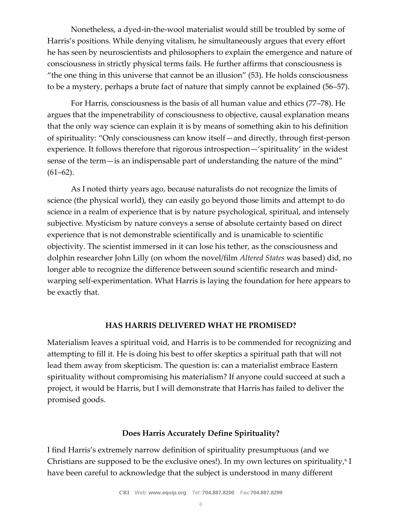Nonetheless, a dyed-in-the-wool materialist would still be troubled by some of Harris's positions. While denying vitalism, he simultaneously argues that every effort he has seen by neuroscientists and philosophers to explain the emergence and nature of consciousness in strictly physical terms fails. He further affirms that consciousness is "the one thing in this universe that cannot be an illusion" (53). He holds consciousness to be a mystery, perhaps a brute fact of nature that simply cannot be explained (56–57).

For Harris, consciousness is the basis of all human value and ethics (77–78). He argues that the impenetrability of consciousness to objective, causal explanation means that the only way science can explain it is by means of something akin to his definition of spirituality: "Only consciousness can know itself—and directly, through first-person experience. It follows therefore that rigorous introspection—'spirituality' in the widest sense of the term—is an indispensable part of understanding the nature of the mind"  $(61–62)$ .

As I noted thirty years ago, because naturalists do not recognize the limits of science (the physical world), they can easily go beyond those limits and attempt to do science in a realm of experience that is by nature psychological, spiritual, and intensely subjective. Mysticism by nature conveys a sense of absolute certainty based on direct experience that is not demonstrable scientifically and is unamicable to scientific objectivity. The scientist immersed in it can lose his tether, as the consciousness and dolphin researcher John Lilly (on whom the novel/film *Altered States* was based) did, no longer able to recognize the difference between sound scientific research and mindwarping self-experimentation. What Harris is laying the foundation for here appears to be exactly that.

#### **HAS HARRIS DELIVERED WHAT HE PROMISED?**

Materialism leaves a spiritual void, and Harris is to be commended for recognizing and attempting to fill it. He is doing his best to offer skeptics a spiritual path that will not lead them away from skepticism. The question is: can a materialist embrace Eastern spirituality without compromising his materialism? If anyone could succeed at such a project, it would be Harris, but I will demonstrate that Harris has failed to deliver the promised goods.

# **Does Harris Accurately Define Spirituality?**

I find Harris's extremely narrow definition of spirituality presumptuous (and we Christians are supposed to be the exclusive ones!). In my own lectures on spirituality, $\rm ^6$  I have been careful to acknowledge that the subject is understood in many different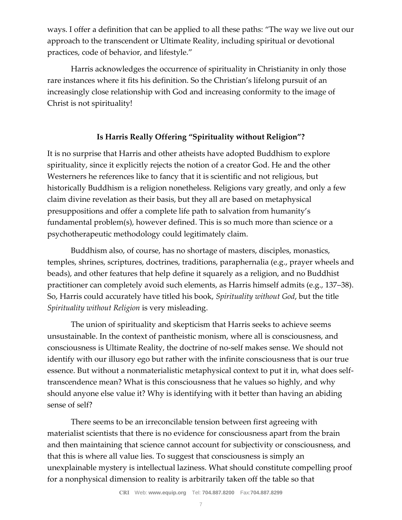ways. I offer a definition that can be applied to all these paths: "The way we live out our approach to the transcendent or Ultimate Reality, including spiritual or devotional practices, code of behavior, and lifestyle."

Harris acknowledges the occurrence of spirituality in Christianity in only those rare instances where it fits his definition. So the Christian's lifelong pursuit of an increasingly close relationship with God and increasing conformity to the image of Christ is not spirituality!

# **Is Harris Really Offering "Spirituality without Religion"?**

It is no surprise that Harris and other atheists have adopted Buddhism to explore spirituality, since it explicitly rejects the notion of a creator God. He and the other Westerners he references like to fancy that it is scientific and not religious, but historically Buddhism is a religion nonetheless. Religions vary greatly, and only a few claim divine revelation as their basis, but they all are based on metaphysical presuppositions and offer a complete life path to salvation from humanity's fundamental problem(s), however defined. This is so much more than science or a psychotherapeutic methodology could legitimately claim.

Buddhism also, of course, has no shortage of masters, disciples, monastics, temples, shrines, scriptures, doctrines, traditions, paraphernalia (e.g., prayer wheels and beads), and other features that help define it squarely as a religion, and no Buddhist practitioner can completely avoid such elements, as Harris himself admits (e.g., 137–38). So, Harris could accurately have titled his book, *Spirituality without God*, but the title *Spirituality without Religion* is very misleading.

The union of spirituality and skepticism that Harris seeks to achieve seems unsustainable. In the context of pantheistic monism, where all is consciousness, and consciousness is Ultimate Reality, the doctrine of no-self makes sense. We should not identify with our illusory ego but rather with the infinite consciousness that is our true essence. But without a nonmaterialistic metaphysical context to put it in, what does selftranscendence mean? What is this consciousness that he values so highly, and why should anyone else value it? Why is identifying with it better than having an abiding sense of self?

There seems to be an irreconcilable tension between first agreeing with materialist scientists that there is no evidence for consciousness apart from the brain and then maintaining that science cannot account for subjectivity or consciousness, and that this is where all value lies. To suggest that consciousness is simply an unexplainable mystery is intellectual laziness. What should constitute compelling proof for a nonphysical dimension to reality is arbitrarily taken off the table so that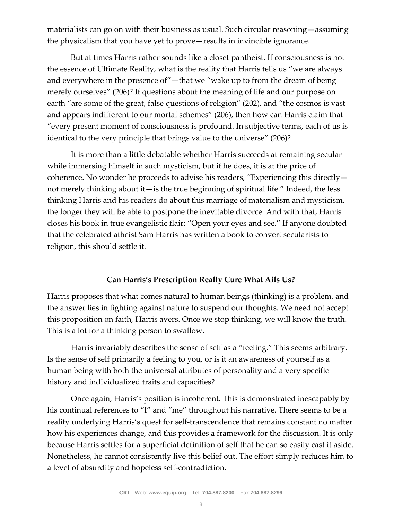materialists can go on with their business as usual. Such circular reasoning—assuming the physicalism that you have yet to prove—results in invincible ignorance.

But at times Harris rather sounds like a closet pantheist. If consciousness is not the essence of Ultimate Reality, what is the reality that Harris tells us "we are always and everywhere in the presence of"—that we "wake up to from the dream of being merely ourselves" (206)? If questions about the meaning of life and our purpose on earth "are some of the great, false questions of religion" (202), and "the cosmos is vast and appears indifferent to our mortal schemes" (206), then how can Harris claim that "every present moment of consciousness is profound. In subjective terms, each of us is identical to the very principle that brings value to the universe" (206)?

It is more than a little debatable whether Harris succeeds at remaining secular while immersing himself in such mysticism, but if he does, it is at the price of coherence. No wonder he proceeds to advise his readers, "Experiencing this directly not merely thinking about it—is the true beginning of spiritual life." Indeed, the less thinking Harris and his readers do about this marriage of materialism and mysticism, the longer they will be able to postpone the inevitable divorce. And with that, Harris closes his book in true evangelistic flair: "Open your eyes and see." If anyone doubted that the celebrated atheist Sam Harris has written a book to convert secularists to religion, this should settle it.

## **Can Harris's Prescription Really Cure What Ails Us?**

Harris proposes that what comes natural to human beings (thinking) is a problem, and the answer lies in fighting against nature to suspend our thoughts. We need not accept this proposition on faith, Harris avers. Once we stop thinking, we will know the truth. This is a lot for a thinking person to swallow.

Harris invariably describes the sense of self as a "feeling." This seems arbitrary. Is the sense of self primarily a feeling to you, or is it an awareness of yourself as a human being with both the universal attributes of personality and a very specific history and individualized traits and capacities?

Once again, Harris's position is incoherent. This is demonstrated inescapably by his continual references to "I" and "me" throughout his narrative. There seems to be a reality underlying Harris's quest for self-transcendence that remains constant no matter how his experiences change, and this provides a framework for the discussion. It is only because Harris settles for a superficial definition of self that he can so easily cast it aside. Nonetheless, he cannot consistently live this belief out. The effort simply reduces him to a level of absurdity and hopeless self-contradiction.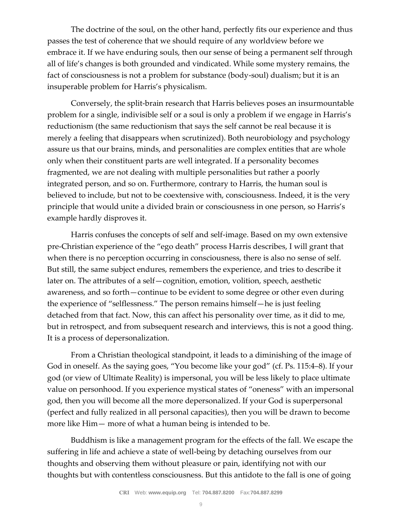The doctrine of the soul, on the other hand, perfectly fits our experience and thus passes the test of coherence that we should require of any worldview before we embrace it. If we have enduring souls, then our sense of being a permanent self through all of life's changes is both grounded and vindicated. While some mystery remains, the fact of consciousness is not a problem for substance (body-soul) dualism; but it is an insuperable problem for Harris's physicalism.

Conversely, the split-brain research that Harris believes poses an insurmountable problem for a single, indivisible self or a soul is only a problem if we engage in Harris's reductionism (the same reductionism that says the self cannot be real because it is merely a feeling that disappears when scrutinized). Both neurobiology and psychology assure us that our brains, minds, and personalities are complex entities that are whole only when their constituent parts are well integrated. If a personality becomes fragmented, we are not dealing with multiple personalities but rather a poorly integrated person, and so on. Furthermore, contrary to Harris, the human soul is believed to include, but not to be coextensive with, consciousness. Indeed, it is the very principle that would unite a divided brain or consciousness in one person, so Harris's example hardly disproves it.

Harris confuses the concepts of self and self-image. Based on my own extensive pre-Christian experience of the "ego death" process Harris describes, I will grant that when there is no perception occurring in consciousness, there is also no sense of self. But still, the same subject endures, remembers the experience, and tries to describe it later on. The attributes of a self—cognition, emotion, volition, speech, aesthetic awareness, and so forth—continue to be evident to some degree or other even during the experience of "selflessness." The person remains himself—he is just feeling detached from that fact. Now, this can affect his personality over time, as it did to me, but in retrospect, and from subsequent research and interviews, this is not a good thing. It is a process of depersonalization.

From a Christian theological standpoint, it leads to a diminishing of the image of God in oneself. As the saying goes, "You become like your god" (cf. Ps. 115:4–8). If your god (or view of Ultimate Reality) is impersonal, you will be less likely to place ultimate value on personhood. If you experience mystical states of "oneness" with an impersonal god, then you will become all the more depersonalized. If your God is superpersonal (perfect and fully realized in all personal capacities), then you will be drawn to become more like Him— more of what a human being is intended to be.

Buddhism is like a management program for the effects of the fall. We escape the suffering in life and achieve a state of well-being by detaching ourselves from our thoughts and observing them without pleasure or pain, identifying not with our thoughts but with contentless consciousness. But this antidote to the fall is one of going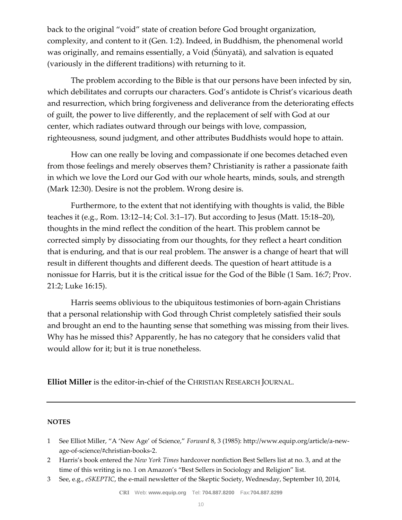back to the original "void" state of creation before God brought organization, complexity, and content to it (Gen. 1:2). Indeed, in Buddhism, the phenomenal world was originally, and remains essentially, a Void (Śūnyatā), and salvation is equated (variously in the different traditions) with returning to it.

The problem according to the Bible is that our persons have been infected by sin, which debilitates and corrupts our characters. God's antidote is Christ's vicarious death and resurrection, which bring forgiveness and deliverance from the deteriorating effects of guilt, the power to live differently, and the replacement of self with God at our center, which radiates outward through our beings with love, compassion, righteousness, sound judgment, and other attributes Buddhists would hope to attain.

How can one really be loving and compassionate if one becomes detached even from those feelings and merely observes them? Christianity is rather a passionate faith in which we love the Lord our God with our whole hearts, minds, souls, and strength (Mark 12:30). Desire is not the problem. Wrong desire is.

Furthermore, to the extent that not identifying with thoughts is valid, the Bible teaches it (e.g., Rom. 13:12–14; Col. 3:1–17). But according to Jesus (Matt. 15:18–20), thoughts in the mind reflect the condition of the heart. This problem cannot be corrected simply by dissociating from our thoughts, for they reflect a heart condition that is enduring, and that is our real problem. The answer is a change of heart that will result in different thoughts and different deeds. The question of heart attitude is a nonissue for Harris, but it is the critical issue for the God of the Bible (1 Sam. 16:7; Prov. 21:2; Luke 16:15).

Harris seems oblivious to the ubiquitous testimonies of born-again Christians that a personal relationship with God through Christ completely satisfied their souls and brought an end to the haunting sense that something was missing from their lives. Why has he missed this? Apparently, he has no category that he considers valid that would allow for it; but it is true nonetheless.

**Elliot Miller** is the editor-in-chief of the CHRISTIAN RESEARCH JOURNAL.

#### **NOTES**

- 1 See Elliot Miller, "A 'New Age' of Science," *Forward* 8, 3 (1985): http://www.equip.org/article/a-newage-of-science/#christian-books-2.
- 2 Harris's book entered the *New York Times* hardcover nonfiction Best Sellers list at no. 3, and at the time of this writing is no. 1 on Amazon's "Best Sellers in Sociology and Religion" list.
- 3 See, e.g., *eSKEPTIC*, the e-mail newsletter of the Skeptic Society, Wednesday, September 10, 2014,